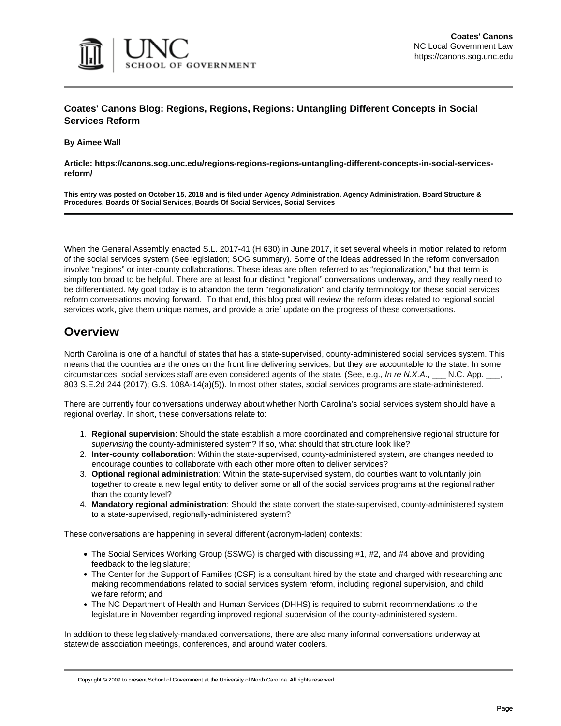

#### **Coates' Canons Blog: Regions, Regions, Regions: Untangling Different Concepts in Social Services Reform**

**By Aimee Wall**

**Article: https://canons.sog.unc.edu/regions-regions-regions-untangling-different-concepts-in-social-servicesreform/**

**This entry was posted on October 15, 2018 and is filed under Agency Administration, Agency Administration, Board Structure & Procedures, Boards Of Social Services, Boards Of Social Services, Social Services**

When the General Assembly enacted S.L. 2017-41 (H 630) in June 2017, it set several wheels in motion related to reform of the social services system (See legislation; SOG summary). Some of the ideas addressed in the reform conversation involve "regions" or inter-county collaborations. These ideas are often referred to as "regionalization," but that term is simply too broad to be helpful. There are at least four distinct "regional" conversations underway, and they really need to be differentiated. My goal today is to abandon the term "regionalization" and clarify terminology for these social services reform conversations moving forward. To that end, this blog post will review the reform ideas related to regional social services work, give them unique names, and provide a brief update on the progress of these conversations.

#### **Overview**

North Carolina is one of a handful of states that has a state-supervised, county-administered social services system. This means that the counties are the ones on the front line delivering services, but they are accountable to the state. In some circumstances, social services staff are even considered agents of the state. (See, e.g., *In re N.X.A*., \_\_\_ N.C. App. \_\_\_, 803 S.E.2d 244 (2017); G.S. 108A-14(a)(5)). In most other states, social services programs are state-administered.

There are currently four conversations underway about whether North Carolina's social services system should have a regional overlay. In short, these conversations relate to:

- 1. **Regional supervision**: Should the state establish a more coordinated and comprehensive regional structure for *supervising* the county-administered system? If so, what should that structure look like?
- 2. **Inter-county collaboration**: Within the state-supervised, county-administered system, are changes needed to encourage counties to collaborate with each other more often to deliver services?
- 3. **Optional regional administration**: Within the state-supervised system, do counties want to voluntarily join together to create a new legal entity to deliver some or all of the social services programs at the regional rather than the county level?
- 4. **Mandatory regional administration**: Should the state convert the state-supervised, county-administered system to a state-supervised, regionally-administered system?

These conversations are happening in several different (acronym-laden) contexts:

- The Social Services Working Group (SSWG) is charged with discussing #1, #2, and #4 above and providing feedback to the legislature;
- The Center for the Support of Families (CSF) is a consultant hired by the state and charged with researching and making recommendations related to social services system reform, including regional supervision, and child welfare reform; and
- The NC Department of Health and Human Services (DHHS) is required to submit recommendations to the legislature in November regarding improved regional supervision of the county-administered system.

In addition to these legislatively-mandated conversations, there are also many informal conversations underway at statewide association meetings, conferences, and around water coolers.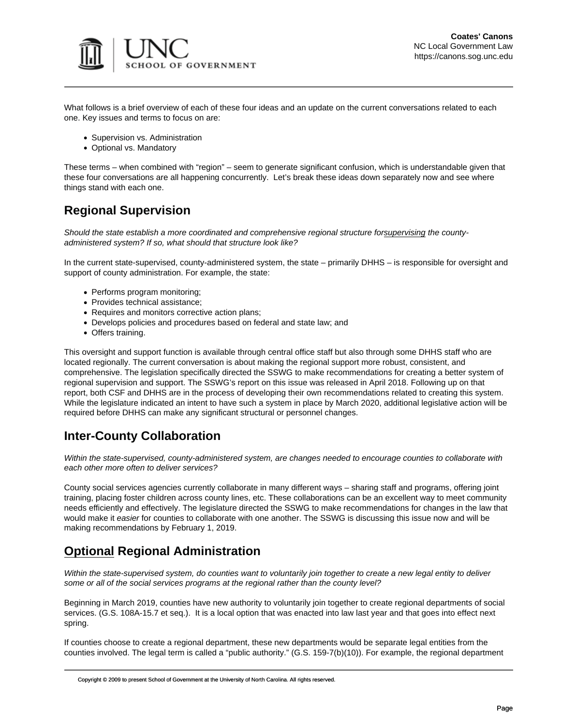

What follows is a brief overview of each of these four ideas and an update on the current conversations related to each one. Key issues and terms to focus on are:

- Supervision vs. Administration
- Optional vs. Mandatory

These terms – when combined with "region" – seem to generate significant confusion, which is understandable given that these four conversations are all happening concurrently. Let's break these ideas down separately now and see where things stand with each one.

### **Regional Supervision**

*Should the state establish a more coordinated and comprehensive regional structure forsupervising the countyadministered system? If so, what should that structure look like?*

In the current state-supervised, county-administered system, the state – primarily DHHS – is responsible for oversight and support of county administration. For example, the state:

- Performs program monitoring;
- Provides technical assistance;
- Requires and monitors corrective action plans;
- Develops policies and procedures based on federal and state law; and
- Offers training.

This oversight and support function is available through central office staff but also through some DHHS staff who are located regionally. The current conversation is about making the regional support more robust, consistent, and comprehensive. The legislation specifically directed the SSWG to make recommendations for creating a better system of regional supervision and support. The SSWG's report on this issue was released in April 2018. Following up on that report, both CSF and DHHS are in the process of developing their own recommendations related to creating this system. While the legislature indicated an intent to have such a system in place by March 2020, additional legislative action will be required before DHHS can make any significant structural or personnel changes.

### **Inter-County Collaboration**

*Within the state-supervised, county-administered system, are changes needed to encourage counties to collaborate with each other more often to deliver services?*

County social services agencies currently collaborate in many different ways – sharing staff and programs, offering joint training, placing foster children across county lines, etc. These collaborations can be an excellent way to meet community needs efficiently and effectively. The legislature directed the SSWG to make recommendations for changes in the law that would make it *easier* for counties to collaborate with one another. The SSWG is discussing this issue now and will be making recommendations by February 1, 2019.

## **Optional Regional Administration**

*Within the state-supervised system, do counties want to voluntarily join together to create a new legal entity to deliver some or all of the social services programs at the regional rather than the county level?* 

Beginning in March 2019, counties have new authority to voluntarily join together to create regional departments of social services. (G.S. 108A-15.7 et seq.). It is a local option that was enacted into law last year and that goes into effect next spring.

If counties choose to create a regional department, these new departments would be separate legal entities from the counties involved. The legal term is called a "public authority." (G.S. 159-7(b)(10)). For example, the regional department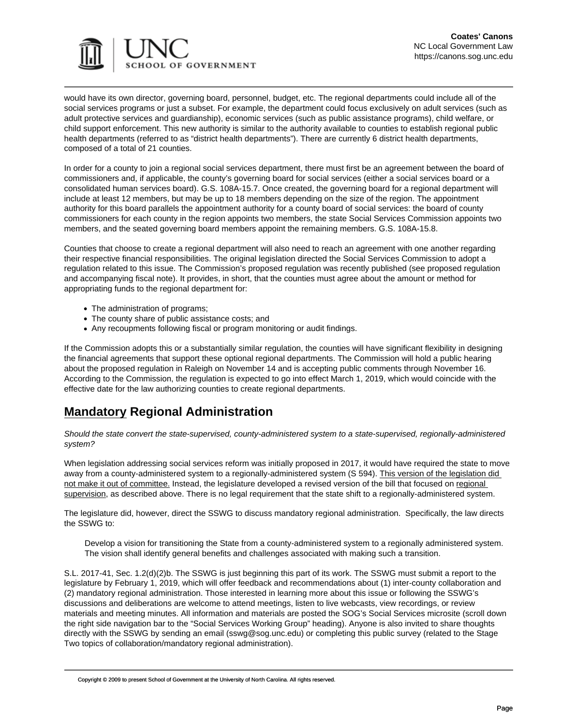

would have its own director, governing board, personnel, budget, etc. The regional departments could include all of the social services programs or just a subset. For example, the department could focus exclusively on adult services (such as adult protective services and guardianship), economic services (such as public assistance programs), child welfare, or child support enforcement. This new authority is similar to the authority available to counties to establish regional public health departments (referred to as "district health departments"). There are currently 6 district health departments, composed of a total of 21 counties.

In order for a county to join a regional social services department, there must first be an agreement between the board of commissioners and, if applicable, the county's governing board for social services (either a social services board or a consolidated human services board). G.S. 108A-15.7. Once created, the governing board for a regional department will include at least 12 members, but may be up to 18 members depending on the size of the region. The appointment authority for this board parallels the appointment authority for a county board of social services: the board of county commissioners for each county in the region appoints two members, the state Social Services Commission appoints two members, and the seated governing board members appoint the remaining members. G.S. 108A-15.8.

Counties that choose to create a regional department will also need to reach an agreement with one another regarding their respective financial responsibilities. The original legislation directed the Social Services Commission to adopt a regulation related to this issue. The Commission's proposed regulation was recently published (see proposed regulation and accompanying fiscal note). It provides, in short, that the counties must agree about the amount or method for appropriating funds to the regional department for:

- The administration of programs;
- The county share of public assistance costs; and
- Any recoupments following fiscal or program monitoring or audit findings.

If the Commission adopts this or a substantially similar regulation, the counties will have significant flexibility in designing the financial agreements that support these optional regional departments. The Commission will hold a public hearing about the proposed regulation in Raleigh on November 14 and is accepting public comments through November 16. According to the Commission, the regulation is expected to go into effect March 1, 2019, which would coincide with the effective date for the law authorizing counties to create regional departments.

## **Mandatory Regional Administration**

*Should the state convert the state-supervised, county-administered system to a state-supervised, regionally-administered system?*

When legislation addressing social services reform was initially proposed in 2017, it would have required the state to move away from a county-administered system to a regionally-administered system (S 594). This version of the legislation did not make it out of committee. Instead, the legislature developed a revised version of the bill that focused on regional supervision, as described above. There is no legal requirement that the state shift to a regionally-administered system.

The legislature did, however, direct the SSWG to discuss mandatory regional administration. Specifically, the law directs the SSWG to:

Develop a vision for transitioning the State from a county-administered system to a regionally administered system. The vision shall identify general benefits and challenges associated with making such a transition.

S.L. 2017-41, Sec. 1.2(d)(2)b. The SSWG is just beginning this part of its work. The SSWG must submit a report to the legislature by February 1, 2019, which will offer feedback and recommendations about (1) inter-county collaboration and (2) mandatory regional administration. Those interested in learning more about this issue or following the SSWG's discussions and deliberations are welcome to attend meetings, listen to live webcasts, view recordings, or review materials and meeting minutes. All information and materials are posted the SOG's Social Services microsite (scroll down the right side navigation bar to the "Social Services Working Group" heading). Anyone is also invited to share thoughts directly with the SSWG by sending an email (sswg@sog.unc.edu) or completing this public survey (related to the Stage Two topics of collaboration/mandatory regional administration).